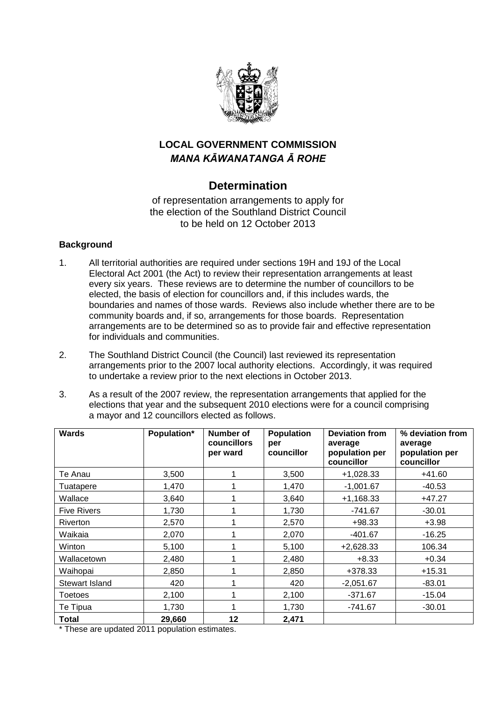

## **LOCAL GOVERNMENT COMMISSION** *MANA KĀWANATANGA Ā ROHE*

# **Determination**

of representation arrangements to apply for the election of the Southland District Council to be held on 12 October 2013

#### **Background**

- 1. All territorial authorities are required under sections 19H and 19J of the Local Electoral Act 2001 (the Act) to review their representation arrangements at least every six years. These reviews are to determine the number of councillors to be elected, the basis of election for councillors and, if this includes wards, the boundaries and names of those wards. Reviews also include whether there are to be community boards and, if so, arrangements for those boards. Representation arrangements are to be determined so as to provide fair and effective representation for individuals and communities.
- 2. The Southland District Council (the Council) last reviewed its representation arrangements prior to the 2007 local authority elections. Accordingly, it was required to undertake a review prior to the next elections in October 2013.
- 3. As a result of the 2007 review, the representation arrangements that applied for the elections that year and the subsequent 2010 elections were for a council comprising a mayor and 12 councillors elected as follows.

| <b>Wards</b>       | Population* | Number of<br>councillors<br>per ward | <b>Population</b><br>per<br>councillor | <b>Deviation from</b><br>average<br>population per | % deviation from<br>average<br>population per |
|--------------------|-------------|--------------------------------------|----------------------------------------|----------------------------------------------------|-----------------------------------------------|
|                    |             |                                      |                                        | councillor                                         | councillor                                    |
| Te Anau            | 3,500       |                                      | 3,500                                  | $+1,028.33$                                        | $+41.60$                                      |
| Tuatapere          | 1,470       |                                      | 1,470                                  | $-1,001.67$                                        | $-40.53$                                      |
| Wallace            | 3,640       |                                      | 3,640                                  | $+1,168.33$                                        | $+47.27$                                      |
| <b>Five Rivers</b> | 1,730       |                                      | 1,730                                  | $-741.67$                                          | $-30.01$                                      |
| Riverton           | 2,570       |                                      | 2,570                                  | $+98.33$                                           | $+3.98$                                       |
| Waikaia            | 2,070       |                                      | 2,070                                  | $-401.67$                                          | $-16.25$                                      |
| Winton             | 5,100       |                                      | 5,100                                  | $+2,628.33$                                        | 106.34                                        |
| Wallacetown        | 2,480       |                                      | 2,480                                  | $+8.33$                                            | $+0.34$                                       |
| Waihopai           | 2,850       |                                      | 2,850                                  | +378.33                                            | $+15.31$                                      |
| Stewart Island     | 420         |                                      | 420                                    | $-2,051.67$                                        | $-83.01$                                      |
| Toetoes            | 2,100       |                                      | 2,100                                  | $-371.67$                                          | $-15.04$                                      |
| Te Tipua           | 1,730       |                                      | 1,730                                  | $-741.67$                                          | $-30.01$                                      |
| <b>Total</b>       | 29,660      | 12                                   | 2,471                                  |                                                    |                                               |

\* These are updated 2011 population estimates.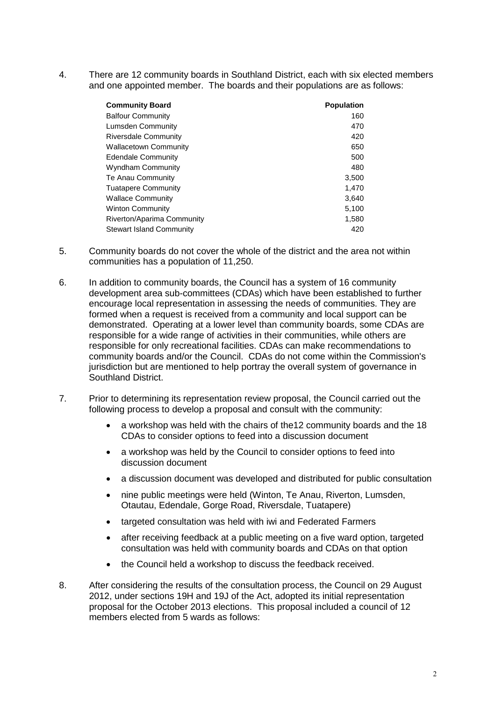4. There are 12 community boards in Southland District, each with six elected members and one appointed member. The boards and their populations are as follows:

| <b>Community Board</b>     | <b>Population</b> |
|----------------------------|-------------------|
| <b>Balfour Community</b>   | 160               |
| Lumsden Community          | 470               |
| Riversdale Community       | 420               |
| Wallacetown Community      | 650               |
| <b>Edendale Community</b>  | 500               |
| Wyndham Community          | 480               |
| Te Anau Community          | 3,500             |
| Tuatapere Community        | 1.470             |
| Wallace Community          | 3,640             |
| Winton Community           | 5,100             |
| Riverton/Aparima Community | 1,580             |
| Stewart Island Community   | 420               |

- 5. Community boards do not cover the whole of the district and the area not within communities has a population of 11,250.
- 6. In addition to community boards, the Council has a system of 16 community development area sub-committees (CDAs) which have been established to further encourage local representation in assessing the needs of communities. They are formed when a request is received from a community and local support can be demonstrated. Operating at a lower level than community boards, some CDAs are responsible for a wide range of activities in their communities, while others are responsible for only recreational facilities. CDAs can make recommendations to community boards and/or the Council. CDAs do not come within the Commission's jurisdiction but are mentioned to help portray the overall system of governance in Southland District.
- 7. Prior to determining its representation review proposal, the Council carried out the following process to develop a proposal and consult with the community:
	- a workshop was held with the chairs of the12 community boards and the 18 CDAs to consider options to feed into a discussion document
	- a workshop was held by the Council to consider options to feed into discussion document
	- a discussion document was developed and distributed for public consultation
	- nine public meetings were held (Winton, Te Anau, Riverton, Lumsden, Otautau, Edendale, Gorge Road, Riversdale, Tuatapere)
	- targeted consultation was held with iwi and Federated Farmers
	- after receiving feedback at a public meeting on a five ward option, targeted consultation was held with community boards and CDAs on that option
	- the Council held a workshop to discuss the feedback received.
- 8. After considering the results of the consultation process, the Council on 29 August 2012, under sections 19H and 19J of the Act, adopted its initial representation proposal for the October 2013 elections. This proposal included a council of 12 members elected from 5 wards as follows: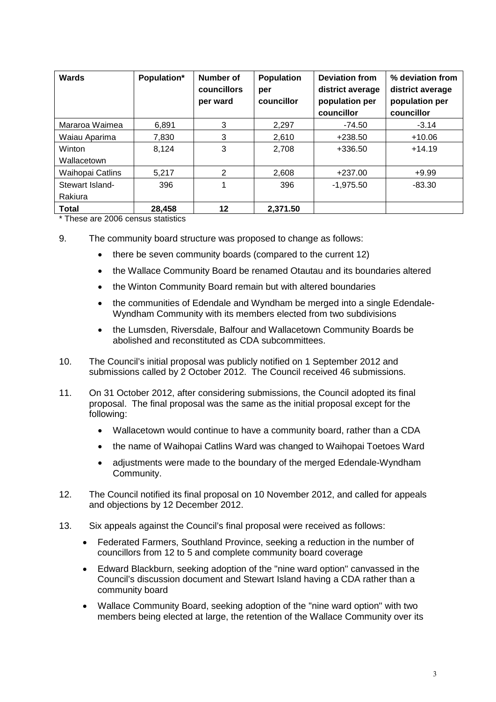| <b>Wards</b>          | Population* | Number of<br>councillors<br>per ward | <b>Population</b><br>per<br>councillor | <b>Deviation from</b><br>district average<br>population per<br>councillor | % deviation from<br>district average<br>population per<br>councillor |
|-----------------------|-------------|--------------------------------------|----------------------------------------|---------------------------------------------------------------------------|----------------------------------------------------------------------|
| Mararoa Waimea        | 6.891       | 3                                    | 2,297                                  | $-74.50$                                                                  | $-3.14$                                                              |
| Waiau Aparima         | 7,830       | 3                                    | 2,610                                  | $+238.50$                                                                 | $+10.06$                                                             |
| Winton<br>Wallacetown | 8,124       | 3                                    | 2.708                                  | +336.50                                                                   | $+14.19$                                                             |
| Waihopai Catlins      | 5.217       | 2                                    | 2,608                                  | $+237.00$                                                                 | $+9.99$                                                              |
| Stewart Island-       | 396         |                                      | 396                                    | $-1,975.50$                                                               | $-83.30$                                                             |
| Rakiura               |             |                                      |                                        |                                                                           |                                                                      |
| <b>Total</b>          | 28,458      | 12                                   | 2,371.50                               |                                                                           |                                                                      |

\* These are 2006 census statistics

- 9. The community board structure was proposed to change as follows:
	- there be seven community boards (compared to the current 12)
	- the Wallace Community Board be renamed Otautau and its boundaries altered
	- the Winton Community Board remain but with altered boundaries
	- the communities of Edendale and Wyndham be merged into a single Edendale-Wyndham Community with its members elected from two subdivisions
	- the Lumsden, Riversdale, Balfour and Wallacetown Community Boards be abolished and reconstituted as CDA subcommittees.
- 10. The Council's initial proposal was publicly notified on 1 September 2012 and submissions called by 2 October 2012. The Council received 46 submissions.
- 11. On 31 October 2012, after considering submissions, the Council adopted its final proposal. The final proposal was the same as the initial proposal except for the following:
	- Wallacetown would continue to have a community board, rather than a CDA
	- the name of Waihopai Catlins Ward was changed to Waihopai Toetoes Ward
	- adjustments were made to the boundary of the merged Edendale-Wyndham Community.
- 12. The Council notified its final proposal on 10 November 2012, and called for appeals and objections by 12 December 2012.
- 13. Six appeals against the Council's final proposal were received as follows:
	- Federated Farmers, Southland Province, seeking a reduction in the number of councillors from 12 to 5 and complete community board coverage
	- Edward Blackburn, seeking adoption of the "nine ward option" canvassed in the Council's discussion document and Stewart Island having a CDA rather than a community board
	- Wallace Community Board, seeking adoption of the "nine ward option" with two members being elected at large, the retention of the Wallace Community over its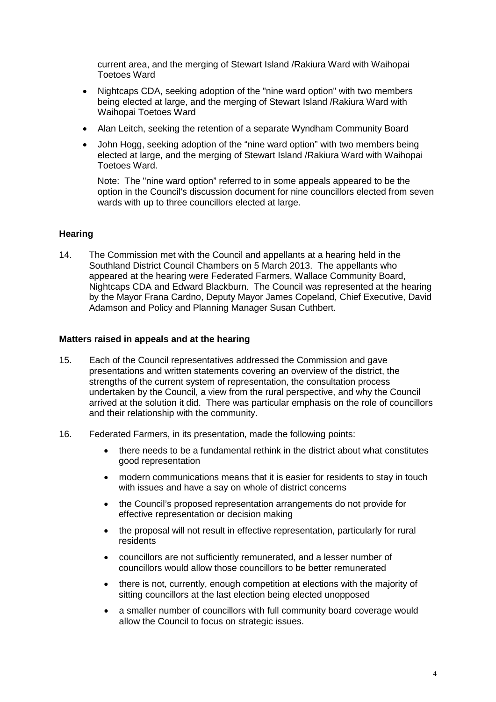current area, and the merging of Stewart Island /Rakiura Ward with Waihopai Toetoes Ward

- Nightcaps CDA, seeking adoption of the "nine ward option" with two members being elected at large, and the merging of Stewart Island /Rakiura Ward with Waihopai Toetoes Ward
- Alan Leitch, seeking the retention of a separate Wyndham Community Board
- John Hogg, seeking adoption of the "nine ward option" with two members being elected at large, and the merging of Stewart Island /Rakiura Ward with Waihopai Toetoes Ward.

Note: The "nine ward option" referred to in some appeals appeared to be the option in the Council's discussion document for nine councillors elected from seven wards with up to three councillors elected at large.

#### **Hearing**

14. The Commission met with the Council and appellants at a hearing held in the Southland District Council Chambers on 5 March 2013. The appellants who appeared at the hearing were Federated Farmers, Wallace Community Board, Nightcaps CDA and Edward Blackburn. The Council was represented at the hearing by the Mayor Frana Cardno, Deputy Mayor James Copeland, Chief Executive, David Adamson and Policy and Planning Manager Susan Cuthbert.

#### **Matters raised in appeals and at the hearing**

- 15. Each of the Council representatives addressed the Commission and gave presentations and written statements covering an overview of the district, the strengths of the current system of representation, the consultation process undertaken by the Council, a view from the rural perspective, and why the Council arrived at the solution it did. There was particular emphasis on the role of councillors and their relationship with the community.
- 16. Federated Farmers, in its presentation, made the following points:
	- there needs to be a fundamental rethink in the district about what constitutes good representation
	- modern communications means that it is easier for residents to stay in touch with issues and have a say on whole of district concerns
	- the Council's proposed representation arrangements do not provide for effective representation or decision making
	- the proposal will not result in effective representation, particularly for rural residents
	- councillors are not sufficiently remunerated, and a lesser number of councillors would allow those councillors to be better remunerated
	- there is not, currently, enough competition at elections with the majority of sitting councillors at the last election being elected unopposed
	- a smaller number of councillors with full community board coverage would allow the Council to focus on strategic issues.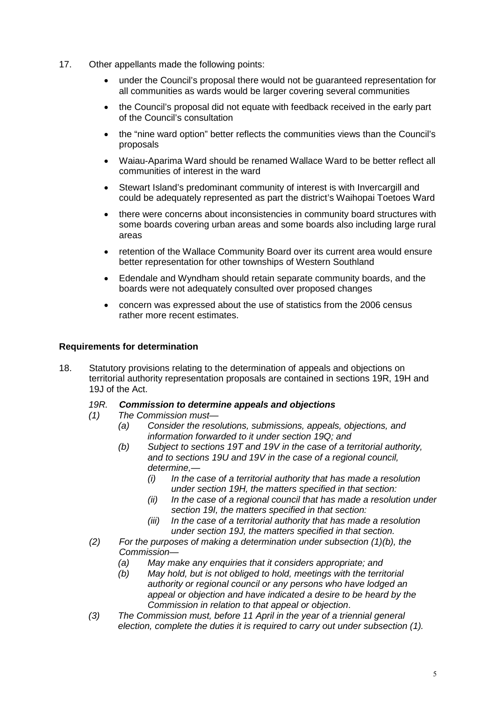- 17. Other appellants made the following points:
	- under the Council's proposal there would not be guaranteed representation for all communities as wards would be larger covering several communities
	- the Council's proposal did not equate with feedback received in the early part of the Council's consultation
	- the "nine ward option" better reflects the communities views than the Council's proposals
	- Waiau-Aparima Ward should be renamed Wallace Ward to be better reflect all communities of interest in the ward
	- Stewart Island's predominant community of interest is with Invercargill and could be adequately represented as part the district's Waihopai Toetoes Ward
	- there were concerns about inconsistencies in community board structures with some boards covering urban areas and some boards also including large rural areas
	- retention of the Wallace Community Board over its current area would ensure better representation for other townships of Western Southland
	- Edendale and Wyndham should retain separate community boards, and the boards were not adequately consulted over proposed changes
	- concern was expressed about the use of statistics from the 2006 census rather more recent estimates.

#### **Requirements for determination**

18. Statutory provisions relating to the determination of appeals and objections on territorial authority representation proposals are contained in sections 19R, 19H and 19J of the Act.

# *19R. Commission to determine appeals and objections*

- *(1) The Commission must—*
	- *(a) Consider the resolutions, submissions, appeals, objections, and information forwarded to it under section 19Q; and*
	- *(b) Subject to sections 19T and 19V in the case of a territorial authority, and to sections 19U and 19V in the case of a regional council, determine,—*
		- *(i) In the case of a territorial authority that has made a resolution under section 19H, the matters specified in that section:*
		- *(ii) In the case of a regional council that has made a resolution under section 19I, the matters specified in that section:*
		- *(iii) In the case of a territorial authority that has made a resolution under section 19J, the matters specified in that section.*
- *(2) For the purposes of making a determination under subsection (1)(b), the Commission—*
	- *(a) May make any enquiries that it considers appropriate; and*
	- *(b) May hold, but is not obliged to hold, meetings with the territorial authority or regional council or any persons who have lodged an appeal or objection and have indicated a desire to be heard by the Commission in relation to that appeal or objection*.
- *(3) The Commission must, before 11 April in the year of a triennial general election, complete the duties it is required to carry out under subsection (1).*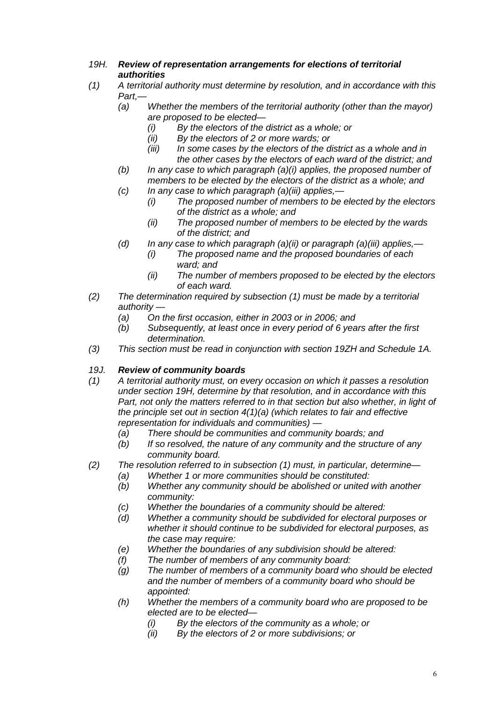- *19H. Review of representation arrangements for elections of territorial authorities*
- *(1) A territorial authority must determine by resolution, and in accordance with this Part,—*<br>(a)
	- *Whether the members of the territorial authority (other than the mayor) are proposed to be elected—*
		- *(i) By the electors of the district as a whole; or*
		- *(ii) By the electors of 2 or more wards; or*
		- *(iii) In some cases by the electors of the district as a whole and in the other cases by the electors of each ward of the district; and*
	- *(b) In any case to which paragraph (a)(i) applies, the proposed number of members to be elected by the electors of the district as a whole; and*
	- *(c) In any case to which paragraph (a)(iii) applies,—*
		- *(i) The proposed number of members to be elected by the electors of the district as a whole; and*
		- *(ii) The proposed number of members to be elected by the wards of the district; and*
	- *(d) In any case to which paragraph (a)(ii) or paragraph (a)(iii) applies,—*
		- *(i) The proposed name and the proposed boundaries of each ward; and*
		- *(ii) The number of members proposed to be elected by the electors of each ward.*
- *(2) The determination required by subsection (1) must be made by a territorial authority —*
	- *(a) On the first occasion, either in 2003 or in 2006; and*
	- *(b) Subsequently, at least once in every period of 6 years after the first determination.*
- *(3) This section must be read in conjunction with section 19ZH and Schedule 1A.*

#### *19J. Review of community boards*

- *(1) A territorial authority must, on every occasion on which it passes a resolution under section 19H, determine by that resolution, and in accordance with this Part, not only the matters referred to in that section but also whether, in light of the principle set out in section 4(1)(a) (which relates to fair and effective representation for individuals and communities) —*
	- *(a) There should be communities and community boards; and*
	- *(b) If so resolved, the nature of any community and the structure of any community board.*
- *(2) The resolution referred to in subsection (1) must, in particular, determine—*
	- *(a) Whether 1 or more communities should be constituted:*
		- *(b) Whether any community should be abolished or united with another community:*
		- *(c) Whether the boundaries of a community should be altered:*
		- *(d) Whether a community should be subdivided for electoral purposes or whether it should continue to be subdivided for electoral purposes, as the case may require:*
		- *(e) Whether the boundaries of any subdivision should be altered:*
		- *(f) The number of members of any community board:*
		- *(g) The number of members of a community board who should be elected and the number of members of a community board who should be appointed:*
		- *(h) Whether the members of a community board who are proposed to be elected are to be elected—*
			- *(i) By the electors of the community as a whole; or*
			- *(ii) By the electors of 2 or more subdivisions; or*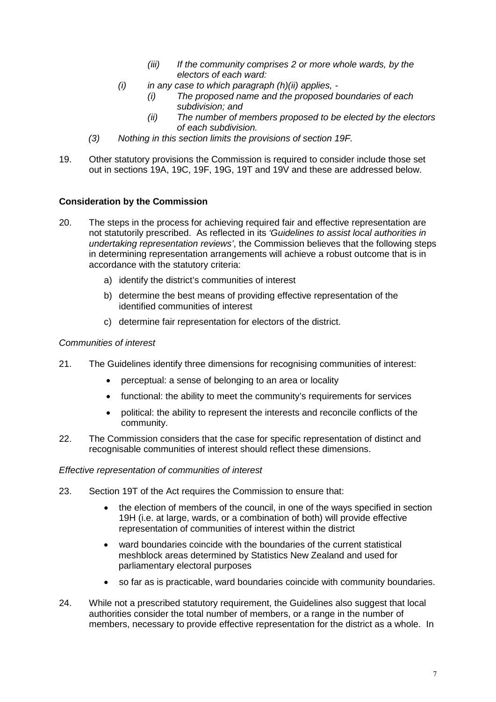- *(iii) If the community comprises 2 or more whole wards, by the electors of each ward:*
- *(i) in any case to which paragraph (h)(ii) applies, -*
	- *(i) The proposed name and the proposed boundaries of each subdivision; and*
	- *(ii) The number of members proposed to be elected by the electors of each subdivision.*
- *(3) Nothing in this section limits the provisions of section 19F.*
- 19. Other statutory provisions the Commission is required to consider include those set out in sections 19A, 19C, 19F, 19G, 19T and 19V and these are addressed below.

#### **Consideration by the Commission**

- 20. The steps in the process for achieving required fair and effective representation are not statutorily prescribed. As reflected in its *'Guidelines to assist local authorities in undertaking representation reviews'*, the Commission believes that the following steps in determining representation arrangements will achieve a robust outcome that is in accordance with the statutory criteria:
	- a) identify the district's communities of interest
	- b) determine the best means of providing effective representation of the identified communities of interest
	- c) determine fair representation for electors of the district.

#### *Communities of interest*

- 21. The Guidelines identify three dimensions for recognising communities of interest:
	- perceptual: a sense of belonging to an area or locality
	- functional: the ability to meet the community's requirements for services
	- political: the ability to represent the interests and reconcile conflicts of the community.
- 22. The Commission considers that the case for specific representation of distinct and recognisable communities of interest should reflect these dimensions.

#### *Effective representation of communities of interest*

- 23. Section 19T of the Act requires the Commission to ensure that:
	- the election of members of the council, in one of the ways specified in section 19H (i.e. at large, wards, or a combination of both) will provide effective representation of communities of interest within the district
	- ward boundaries coincide with the boundaries of the current statistical meshblock areas determined by Statistics New Zealand and used for parliamentary electoral purposes
	- so far as is practicable, ward boundaries coincide with community boundaries.
- 24. While not a prescribed statutory requirement, the Guidelines also suggest that local authorities consider the total number of members, or a range in the number of members, necessary to provide effective representation for the district as a whole. In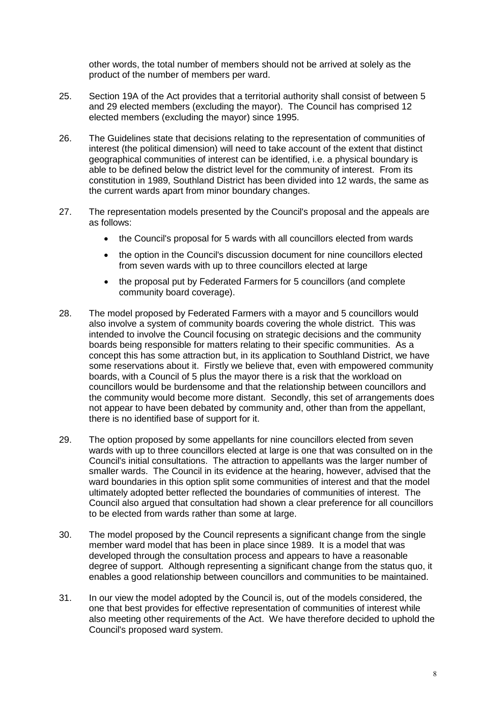other words, the total number of members should not be arrived at solely as the product of the number of members per ward.

- 25. Section 19A of the Act provides that a territorial authority shall consist of between 5 and 29 elected members (excluding the mayor). The Council has comprised 12 elected members (excluding the mayor) since 1995.
- 26. The Guidelines state that decisions relating to the representation of communities of interest (the political dimension) will need to take account of the extent that distinct geographical communities of interest can be identified, i.e. a physical boundary is able to be defined below the district level for the community of interest. From its constitution in 1989, Southland District has been divided into 12 wards, the same as the current wards apart from minor boundary changes.
- 27. The representation models presented by the Council's proposal and the appeals are as follows:
	- the Council's proposal for 5 wards with all councillors elected from wards
	- the option in the Council's discussion document for nine councillors elected from seven wards with up to three councillors elected at large
	- the proposal put by Federated Farmers for 5 councillors (and complete community board coverage).
- 28. The model proposed by Federated Farmers with a mayor and 5 councillors would also involve a system of community boards covering the whole district. This was intended to involve the Council focusing on strategic decisions and the community boards being responsible for matters relating to their specific communities. As a concept this has some attraction but, in its application to Southland District, we have some reservations about it. Firstly we believe that, even with empowered community boards, with a Council of 5 plus the mayor there is a risk that the workload on councillors would be burdensome and that the relationship between councillors and the community would become more distant. Secondly, this set of arrangements does not appear to have been debated by community and, other than from the appellant, there is no identified base of support for it.
- 29. The option proposed by some appellants for nine councillors elected from seven wards with up to three councillors elected at large is one that was consulted on in the Council's initial consultations. The attraction to appellants was the larger number of smaller wards. The Council in its evidence at the hearing, however, advised that the ward boundaries in this option split some communities of interest and that the model ultimately adopted better reflected the boundaries of communities of interest. The Council also argued that consultation had shown a clear preference for all councillors to be elected from wards rather than some at large.
- 30. The model proposed by the Council represents a significant change from the single member ward model that has been in place since 1989. It is a model that was developed through the consultation process and appears to have a reasonable degree of support. Although representing a significant change from the status quo, it enables a good relationship between councillors and communities to be maintained.
- 31. In our view the model adopted by the Council is, out of the models considered, the one that best provides for effective representation of communities of interest while also meeting other requirements of the Act. We have therefore decided to uphold the Council's proposed ward system.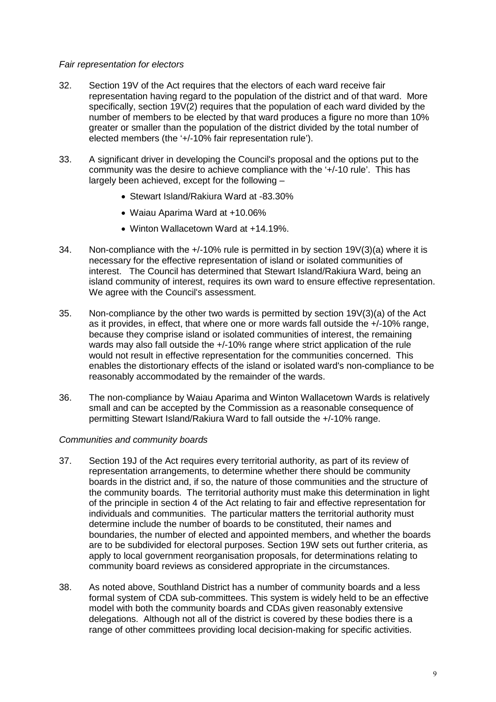#### *Fair representation for electors*

- 32. Section 19V of the Act requires that the electors of each ward receive fair representation having regard to the population of the district and of that ward. More specifically, section 19V(2) requires that the population of each ward divided by the number of members to be elected by that ward produces a figure no more than 10% greater or smaller than the population of the district divided by the total number of elected members (the '+/-10% fair representation rule').
- 33. A significant driver in developing the Council's proposal and the options put to the community was the desire to achieve compliance with the '+/-10 rule'. This has largely been achieved, except for the following –
	- Stewart Island/Rakiura Ward at -83.30%
	- Waiau Aparima Ward at +10.06%
	- Winton Wallacetown Ward at +14.19%.
- 34. Non-compliance with the +/-10% rule is permitted in by section 19V(3)(a) where it is necessary for the effective representation of island or isolated communities of interest. The Council has determined that Stewart Island/Rakiura Ward, being an island community of interest, requires its own ward to ensure effective representation. We agree with the Council's assessment.
- 35. Non-compliance by the other two wards is permitted by section 19V(3)(a) of the Act as it provides, in effect, that where one or more wards fall outside the +/-10% range, because they comprise island or isolated communities of interest, the remaining wards may also fall outside the  $+/-10\%$  range where strict application of the rule would not result in effective representation for the communities concerned. This enables the distortionary effects of the island or isolated ward's non-compliance to be reasonably accommodated by the remainder of the wards.
- 36. The non-compliance by Waiau Aparima and Winton Wallacetown Wards is relatively small and can be accepted by the Commission as a reasonable consequence of permitting Stewart Island/Rakiura Ward to fall outside the +/-10% range.

#### *Communities and community boards*

- 37. Section 19J of the Act requires every territorial authority, as part of its review of representation arrangements, to determine whether there should be community boards in the district and, if so, the nature of those communities and the structure of the community boards. The territorial authority must make this determination in light of the principle in section 4 of the Act relating to fair and effective representation for individuals and communities. The particular matters the territorial authority must determine include the number of boards to be constituted, their names and boundaries, the number of elected and appointed members, and whether the boards are to be subdivided for electoral purposes. Section 19W sets out further criteria, as apply to local government reorganisation proposals, for determinations relating to community board reviews as considered appropriate in the circumstances.
- 38. As noted above, Southland District has a number of community boards and a less formal system of CDA sub-committees. This system is widely held to be an effective model with both the community boards and CDAs given reasonably extensive delegations. Although not all of the district is covered by these bodies there is a range of other committees providing local decision-making for specific activities.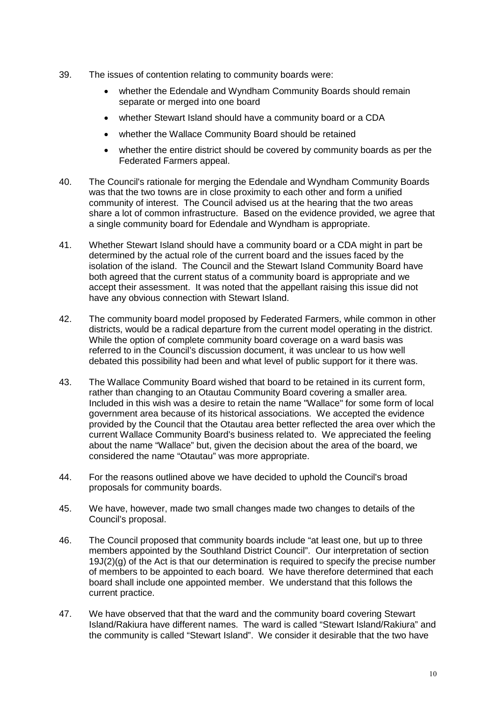- 39. The issues of contention relating to community boards were:
	- whether the Edendale and Wyndham Community Boards should remain separate or merged into one board
	- whether Stewart Island should have a community board or a CDA
	- whether the Wallace Community Board should be retained
	- whether the entire district should be covered by community boards as per the Federated Farmers appeal.
- 40. The Council's rationale for merging the Edendale and Wyndham Community Boards was that the two towns are in close proximity to each other and form a unified community of interest. The Council advised us at the hearing that the two areas share a lot of common infrastructure. Based on the evidence provided, we agree that a single community board for Edendale and Wyndham is appropriate.
- 41. Whether Stewart Island should have a community board or a CDA might in part be determined by the actual role of the current board and the issues faced by the isolation of the island. The Council and the Stewart Island Community Board have both agreed that the current status of a community board is appropriate and we accept their assessment. It was noted that the appellant raising this issue did not have any obvious connection with Stewart Island.
- 42. The community board model proposed by Federated Farmers, while common in other districts, would be a radical departure from the current model operating in the district. While the option of complete community board coverage on a ward basis was referred to in the Council's discussion document, it was unclear to us how well debated this possibility had been and what level of public support for it there was.
- 43. The Wallace Community Board wished that board to be retained in its current form, rather than changing to an Otautau Community Board covering a smaller area. Included in this wish was a desire to retain the name "Wallace" for some form of local government area because of its historical associations. We accepted the evidence provided by the Council that the Otautau area better reflected the area over which the current Wallace Community Board's business related to. We appreciated the feeling about the name "Wallace" but, given the decision about the area of the board, we considered the name "Otautau" was more appropriate.
- 44. For the reasons outlined above we have decided to uphold the Council's broad proposals for community boards.
- 45. We have, however, made two small changes made two changes to details of the Council's proposal.
- 46. The Council proposed that community boards include "at least one, but up to three members appointed by the Southland District Council". Our interpretation of section 19J(2)(g) of the Act is that our determination is required to specify the precise number of members to be appointed to each board. We have therefore determined that each board shall include one appointed member. We understand that this follows the current practice.
- 47. We have observed that that the ward and the community board covering Stewart Island/Rakiura have different names. The ward is called "Stewart Island/Rakiura" and the community is called "Stewart Island". We consider it desirable that the two have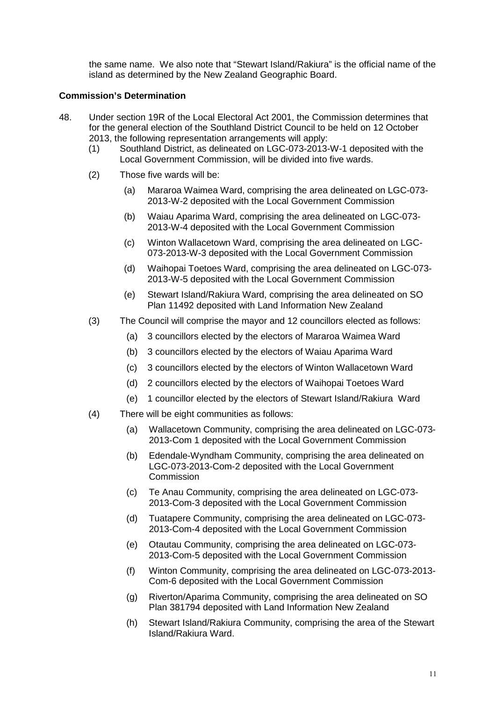the same name. We also note that "Stewart Island/Rakiura" is the official name of the island as determined by the New Zealand Geographic Board.

#### **Commission's Determination**

- 48. Under section 19R of the Local Electoral Act 2001, the Commission determines that for the general election of the Southland District Council to be held on 12 October 2013, the following representation arrangements will apply:
	- (1) Southland District, as delineated on LGC-073-2013-W-1 deposited with the Local Government Commission, will be divided into five wards.
	- (2) Those five wards will be:
		- (a) Mararoa Waimea Ward, comprising the area delineated on LGC-073- 2013-W-2 deposited with the Local Government Commission
		- (b) Waiau Aparima Ward, comprising the area delineated on LGC-073- 2013-W-4 deposited with the Local Government Commission
		- (c) Winton Wallacetown Ward, comprising the area delineated on LGC-073-2013-W-3 deposited with the Local Government Commission
		- (d) Waihopai Toetoes Ward, comprising the area delineated on LGC-073- 2013-W-5 deposited with the Local Government Commission
		- (e) Stewart Island/Rakiura Ward, comprising the area delineated on SO Plan 11492 deposited with Land Information New Zealand
	- (3) The Council will comprise the mayor and 12 councillors elected as follows:
		- (a) 3 councillors elected by the electors of Mararoa Waimea Ward
		- (b) 3 councillors elected by the electors of Waiau Aparima Ward
		- (c) 3 councillors elected by the electors of Winton Wallacetown Ward
		- (d) 2 councillors elected by the electors of Waihopai Toetoes Ward
		- (e) 1 councillor elected by the electors of Stewart Island/Rakiura Ward
	- (4) There will be eight communities as follows:
		- (a) Wallacetown Community, comprising the area delineated on LGC-073- 2013-Com 1 deposited with the Local Government Commission
		- (b) Edendale-Wyndham Community, comprising the area delineated on LGC-073-2013-Com-2 deposited with the Local Government **Commission**
		- (c) Te Anau Community, comprising the area delineated on LGC-073- 2013-Com-3 deposited with the Local Government Commission
		- (d) Tuatapere Community, comprising the area delineated on LGC-073- 2013-Com-4 deposited with the Local Government Commission
		- (e) Otautau Community, comprising the area delineated on LGC-073- 2013-Com-5 deposited with the Local Government Commission
		- (f) Winton Community, comprising the area delineated on LGC-073-2013- Com-6 deposited with the Local Government Commission
		- (g) Riverton/Aparima Community, comprising the area delineated on SO Plan 381794 deposited with Land Information New Zealand
		- (h) Stewart Island/Rakiura Community, comprising the area of the Stewart Island/Rakiura Ward.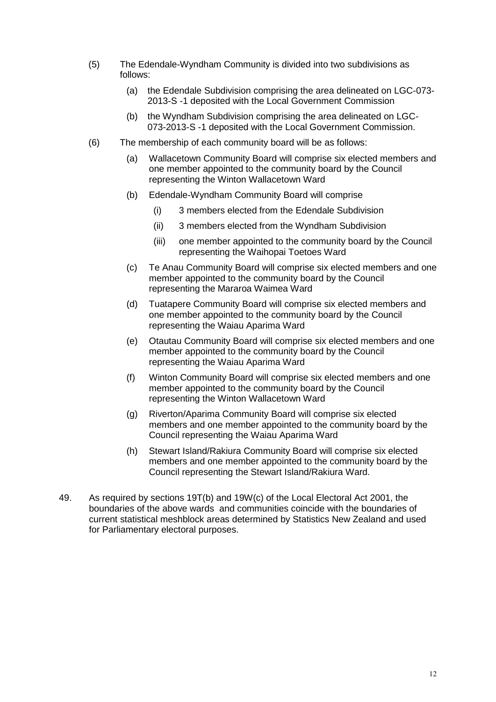- (5) The Edendale-Wyndham Community is divided into two subdivisions as follows:
	- (a) the Edendale Subdivision comprising the area delineated on LGC-073- 2013-S -1 deposited with the Local Government Commission
	- (b) the Wyndham Subdivision comprising the area delineated on LGC-073-2013-S -1 deposited with the Local Government Commission.
- (6) The membership of each community board will be as follows:
	- (a) Wallacetown Community Board will comprise six elected members and one member appointed to the community board by the Council representing the Winton Wallacetown Ward
	- (b) Edendale-Wyndham Community Board will comprise
		- (i) 3 members elected from the Edendale Subdivision
		- (ii) 3 members elected from the Wyndham Subdivision
		- (iii) one member appointed to the community board by the Council representing the Waihopai Toetoes Ward
	- (c) Te Anau Community Board will comprise six elected members and one member appointed to the community board by the Council representing the Mararoa Waimea Ward
	- (d) Tuatapere Community Board will comprise six elected members and one member appointed to the community board by the Council representing the Waiau Aparima Ward
	- (e) Otautau Community Board will comprise six elected members and one member appointed to the community board by the Council representing the Waiau Aparima Ward
	- (f) Winton Community Board will comprise six elected members and one member appointed to the community board by the Council representing the Winton Wallacetown Ward
	- (g) Riverton/Aparima Community Board will comprise six elected members and one member appointed to the community board by the Council representing the Waiau Aparima Ward
	- (h) Stewart Island/Rakiura Community Board will comprise six elected members and one member appointed to the community board by the Council representing the Stewart Island/Rakiura Ward.
- 49. As required by sections 19T(b) and 19W(c) of the Local Electoral Act 2001, the boundaries of the above wards and communities coincide with the boundaries of current statistical meshblock areas determined by Statistics New Zealand and used for Parliamentary electoral purposes.